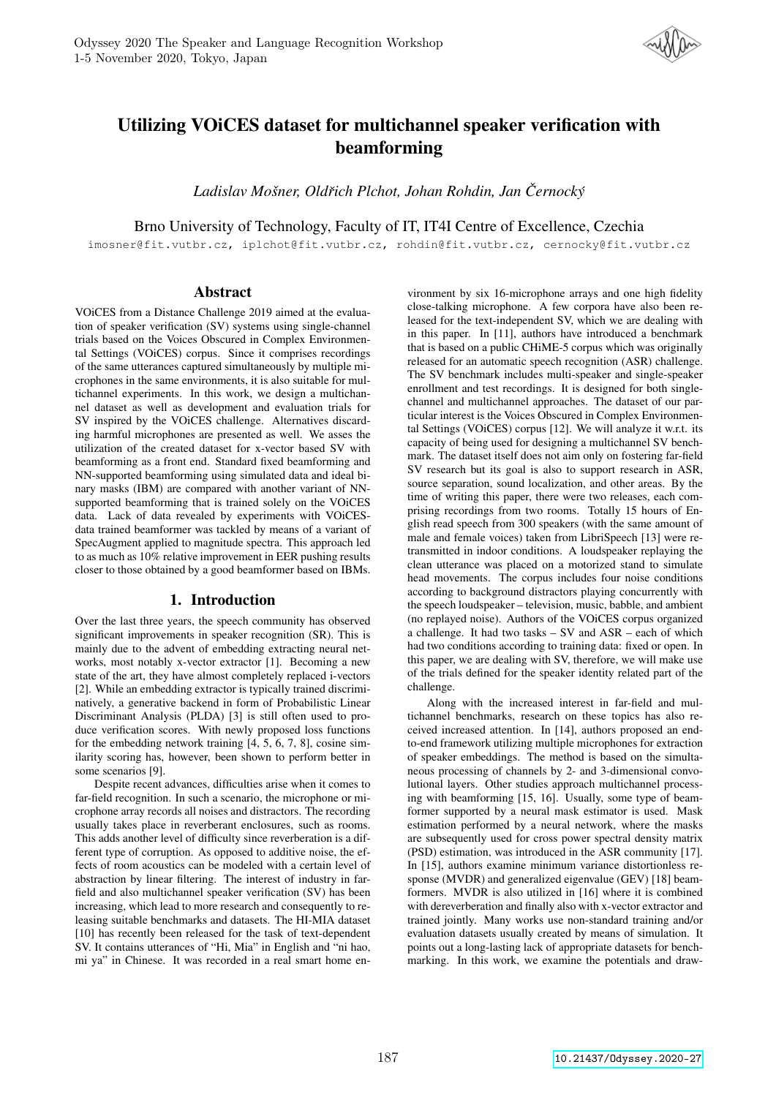

# Utilizing VOiCES dataset for multichannel speaker verification with beamforming

*Ladislav Mosner, Old ˇ rich Plchot, Johan Rohdin, Jan ˇ Cernock ˇ y´*

Brno University of Technology, Faculty of IT, IT4I Centre of Excellence, Czechia

imosner@fit.vutbr.cz, iplchot@fit.vutbr.cz, rohdin@fit.vutbr.cz, cernocky@fit.vutbr.cz

# Abstract

VOiCES from a Distance Challenge 2019 aimed at the evaluation of speaker verification (SV) systems using single-channel trials based on the Voices Obscured in Complex Environmental Settings (VOiCES) corpus. Since it comprises recordings of the same utterances captured simultaneously by multiple microphones in the same environments, it is also suitable for multichannel experiments. In this work, we design a multichannel dataset as well as development and evaluation trials for SV inspired by the VOiCES challenge. Alternatives discarding harmful microphones are presented as well. We asses the utilization of the created dataset for x-vector based SV with beamforming as a front end. Standard fixed beamforming and NN-supported beamforming using simulated data and ideal binary masks (IBM) are compared with another variant of NNsupported beamforming that is trained solely on the VOiCES data. Lack of data revealed by experiments with VOiCESdata trained beamformer was tackled by means of a variant of SpecAugment applied to magnitude spectra. This approach led to as much as 10% relative improvement in EER pushing results closer to those obtained by a good beamformer based on IBMs.

# 1. Introduction

Over the last three years, the speech community has observed significant improvements in speaker recognition (SR). This is mainly due to the advent of embedding extracting neural networks, most notably x-vector extractor [1]. Becoming a new state of the art, they have almost completely replaced i-vectors [2]. While an embedding extractor is typically trained discriminatively, a generative backend in form of Probabilistic Linear Discriminant Analysis (PLDA) [3] is still often used to produce verification scores. With newly proposed loss functions for the embedding network training [4, 5, 6, 7, 8], cosine similarity scoring has, however, been shown to perform better in some scenarios [9].

Despite recent advances, difficulties arise when it comes to far-field recognition. In such a scenario, the microphone or microphone array records all noises and distractors. The recording usually takes place in reverberant enclosures, such as rooms. This adds another level of difficulty since reverberation is a different type of corruption. As opposed to additive noise, the effects of room acoustics can be modeled with a certain level of abstraction by linear filtering. The interest of industry in farfield and also multichannel speaker verification (SV) has been increasing, which lead to more research and consequently to releasing suitable benchmarks and datasets. The HI-MIA dataset [10] has recently been released for the task of text-dependent SV. It contains utterances of "Hi, Mia" in English and "ni hao, mi ya" in Chinese. It was recorded in a real smart home en-

vironment by six 16-microphone arrays and one high fidelity close-talking microphone. A few corpora have also been released for the text-independent SV, which we are dealing with in this paper. In [11], authors have introduced a benchmark that is based on a public CHiME-5 corpus which was originally released for an automatic speech recognition (ASR) challenge. The SV benchmark includes multi-speaker and single-speaker enrollment and test recordings. It is designed for both singlechannel and multichannel approaches. The dataset of our particular interest is the Voices Obscured in Complex Environmental Settings (VOiCES) corpus [12]. We will analyze it w.r.t. its capacity of being used for designing a multichannel SV benchmark. The dataset itself does not aim only on fostering far-field SV research but its goal is also to support research in ASR, source separation, sound localization, and other areas. By the time of writing this paper, there were two releases, each comprising recordings from two rooms. Totally 15 hours of English read speech from 300 speakers (with the same amount of male and female voices) taken from LibriSpeech [13] were retransmitted in indoor conditions. A loudspeaker replaying the clean utterance was placed on a motorized stand to simulate head movements. The corpus includes four noise conditions according to background distractors playing concurrently with the speech loudspeaker – television, music, babble, and ambient (no replayed noise). Authors of the VOiCES corpus organized a challenge. It had two tasks – SV and ASR – each of which had two conditions according to training data: fixed or open. In this paper, we are dealing with SV, therefore, we will make use of the trials defined for the speaker identity related part of the challenge.

Along with the increased interest in far-field and multichannel benchmarks, research on these topics has also received increased attention. In [14], authors proposed an endto-end framework utilizing multiple microphones for extraction of speaker embeddings. The method is based on the simultaneous processing of channels by 2- and 3-dimensional convolutional layers. Other studies approach multichannel processing with beamforming [15, 16]. Usually, some type of beamformer supported by a neural mask estimator is used. Mask estimation performed by a neural network, where the masks are subsequently used for cross power spectral density matrix (PSD) estimation, was introduced in the ASR community [17]. In [15], authors examine minimum variance distortionless response (MVDR) and generalized eigenvalue (GEV) [18] beamformers. MVDR is also utilized in [16] where it is combined with dereverberation and finally also with x-vector extractor and trained jointly. Many works use non-standard training and/or evaluation datasets usually created by means of simulation. It points out a long-lasting lack of appropriate datasets for benchmarking. In this work, we examine the potentials and draw-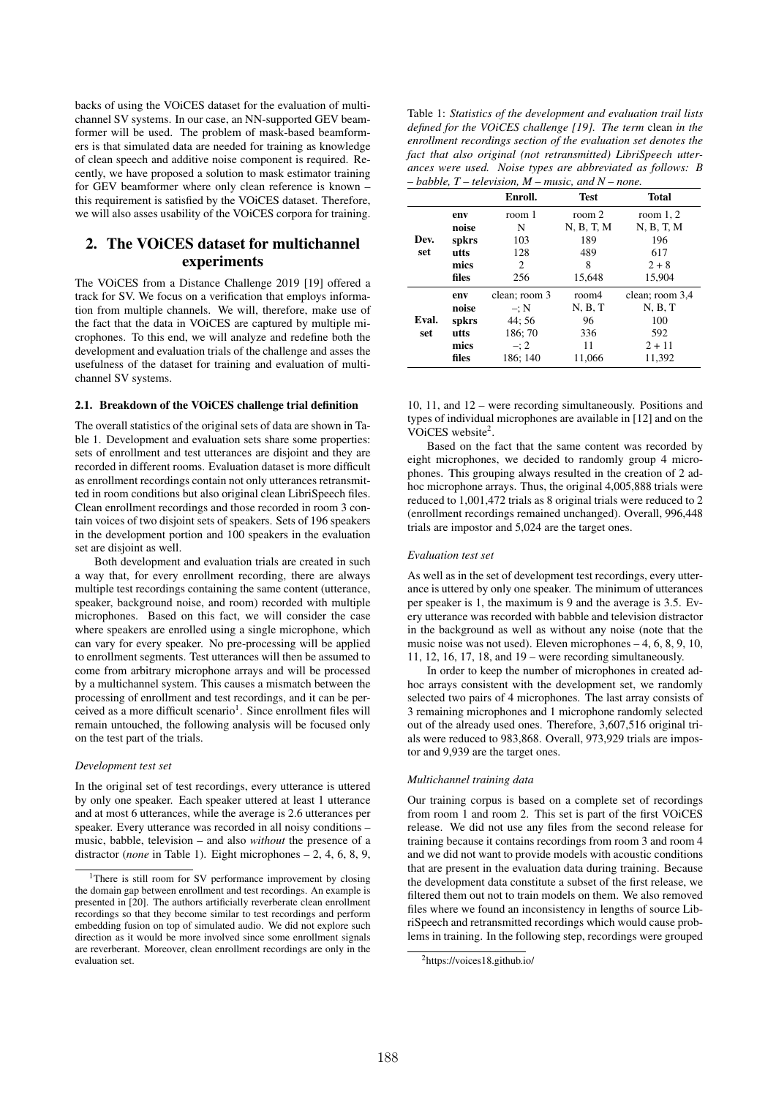backs of using the VOiCES dataset for the evaluation of multichannel SV systems. In our case, an NN-supported GEV beamformer will be used. The problem of mask-based beamformers is that simulated data are needed for training as knowledge of clean speech and additive noise component is required. Recently, we have proposed a solution to mask estimator training for GEV beamformer where only clean reference is known – this requirement is satisfied by the VOiCES dataset. Therefore, we will also asses usability of the VOiCES corpora for training.

# 2. The VOiCES dataset for multichannel experiments

The VOiCES from a Distance Challenge 2019 [19] offered a track for SV. We focus on a verification that employs information from multiple channels. We will, therefore, make use of the fact that the data in VOiCES are captured by multiple microphones. To this end, we will analyze and redefine both the development and evaluation trials of the challenge and asses the usefulness of the dataset for training and evaluation of multichannel SV systems.

#### 2.1. Breakdown of the VOiCES challenge trial definition

The overall statistics of the original sets of data are shown in Table 1. Development and evaluation sets share some properties: sets of enrollment and test utterances are disjoint and they are recorded in different rooms. Evaluation dataset is more difficult as enrollment recordings contain not only utterances retransmitted in room conditions but also original clean LibriSpeech files. Clean enrollment recordings and those recorded in room 3 contain voices of two disjoint sets of speakers. Sets of 196 speakers in the development portion and 100 speakers in the evaluation set are disjoint as well.

Both development and evaluation trials are created in such a way that, for every enrollment recording, there are always multiple test recordings containing the same content (utterance, speaker, background noise, and room) recorded with multiple microphones. Based on this fact, we will consider the case where speakers are enrolled using a single microphone, which can vary for every speaker. No pre-processing will be applied to enrollment segments. Test utterances will then be assumed to come from arbitrary microphone arrays and will be processed by a multichannel system. This causes a mismatch between the processing of enrollment and test recordings, and it can be perceived as a more difficult scenario<sup>1</sup>. Since enrollment files will remain untouched, the following analysis will be focused only on the test part of the trials.

#### *Development test set*

In the original set of test recordings, every utterance is uttered by only one speaker. Each speaker uttered at least 1 utterance and at most 6 utterances, while the average is 2.6 utterances per speaker. Every utterance was recorded in all noisy conditions – music, babble, television – and also *without* the presence of a distractor (*none* in Table 1). Eight microphones – 2, 4, 6, 8, 9,

Table 1: *Statistics of the development and evaluation trail lists defined for the VOiCES challenge [19]. The term* clean *in the enrollment recordings section of the evaluation set denotes the fact that also original (not retransmitted) LibriSpeech utterances were used. Noise types are abbreviated as follows: B – babble, T – television, M – music, and N – none.*

|       |       | Enroll.       | <b>Test</b> | Total           |  |  |  |
|-------|-------|---------------|-------------|-----------------|--|--|--|
|       | env   | room 1        | room 2      | room $1, 2$     |  |  |  |
| Dev.  | noise | N             | N, B, T, M  | N, B, T, M      |  |  |  |
|       | spkrs | 103           | 189         | 196             |  |  |  |
| set   | utts  | 128           | 489         | 617             |  |  |  |
|       | mics  | 2             | 8           | $2 + 8$         |  |  |  |
|       | files | 256           | 15,648      | 15,904          |  |  |  |
|       | env   | clean; room 3 | room4       | clean; room 3,4 |  |  |  |
|       | noise | $-$ : N       | N, B, T     | N, B, T         |  |  |  |
| Eval. | spkrs | 44:56         | 96          | 100             |  |  |  |
| set   | utts  | 186;70        | 336         | 592             |  |  |  |
|       | mics  | $-12$         | 11          | $2 + 11$        |  |  |  |
|       | files | 186; 140      | 11,066      | 11,392          |  |  |  |

10, 11, and 12 – were recording simultaneously. Positions and types of individual microphones are available in [12] and on the VOiCES website<sup>2</sup>.

Based on the fact that the same content was recorded by eight microphones, we decided to randomly group 4 microphones. This grouping always resulted in the creation of 2 adhoc microphone arrays. Thus, the original 4,005,888 trials were reduced to 1,001,472 trials as 8 original trials were reduced to 2 (enrollment recordings remained unchanged). Overall, 996,448 trials are impostor and 5,024 are the target ones.

#### *Evaluation test set*

As well as in the set of development test recordings, every utterance is uttered by only one speaker. The minimum of utterances per speaker is 1, the maximum is 9 and the average is 3.5. Every utterance was recorded with babble and television distractor in the background as well as without any noise (note that the music noise was not used). Eleven microphones – 4, 6, 8, 9, 10, 11, 12, 16, 17, 18, and 19 – were recording simultaneously.

In order to keep the number of microphones in created adhoc arrays consistent with the development set, we randomly selected two pairs of 4 microphones. The last array consists of 3 remaining microphones and 1 microphone randomly selected out of the already used ones. Therefore, 3,607,516 original trials were reduced to 983,868. Overall, 973,929 trials are impostor and 9,939 are the target ones.

#### *Multichannel training data*

Our training corpus is based on a complete set of recordings from room 1 and room 2. This set is part of the first VOiCES release. We did not use any files from the second release for training because it contains recordings from room 3 and room 4 and we did not want to provide models with acoustic conditions that are present in the evaluation data during training. Because the development data constitute a subset of the first release, we filtered them out not to train models on them. We also removed files where we found an inconsistency in lengths of source LibriSpeech and retransmitted recordings which would cause problems in training. In the following step, recordings were grouped

<sup>&</sup>lt;sup>1</sup>There is still room for SV performance improvement by closing the domain gap between enrollment and test recordings. An example is presented in [20]. The authors artificially reverberate clean enrollment recordings so that they become similar to test recordings and perform embedding fusion on top of simulated audio. We did not explore such direction as it would be more involved since some enrollment signals are reverberant. Moreover, clean enrollment recordings are only in the evaluation set.

<sup>2</sup>https://voices18.github.io/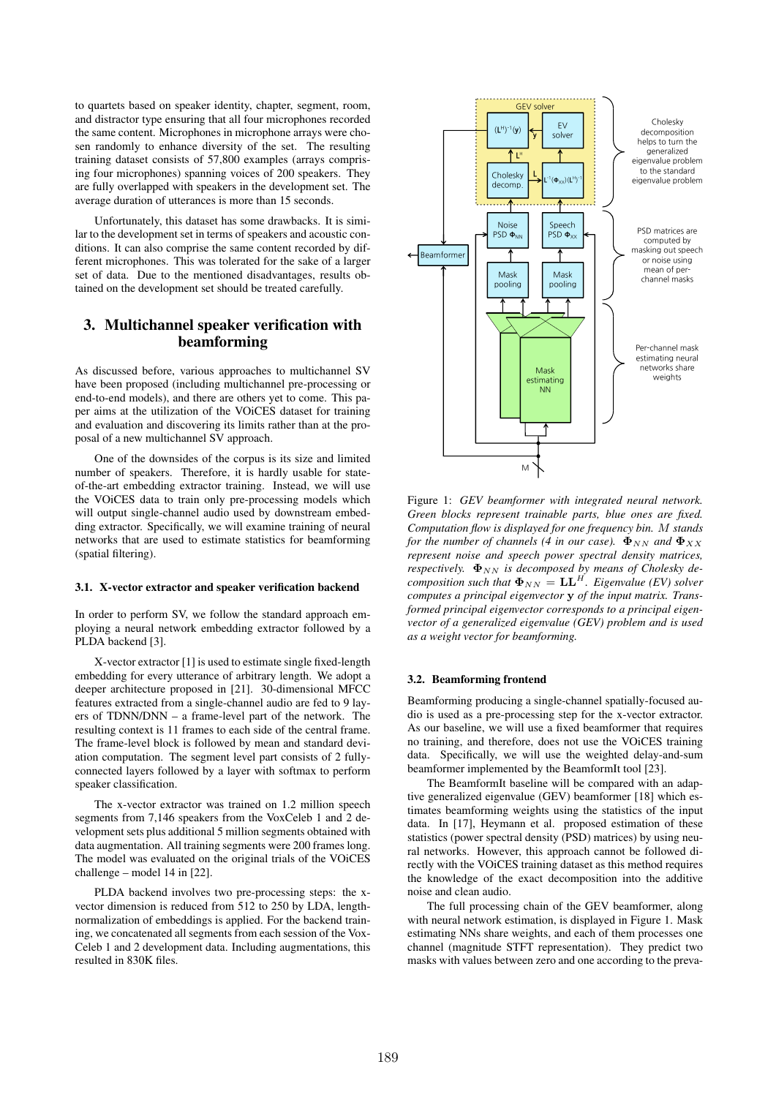to quartets based on speaker identity, chapter, segment, room, and distractor type ensuring that all four microphones recorded the same content. Microphones in microphone arrays were chosen randomly to enhance diversity of the set. The resulting training dataset consists of 57,800 examples (arrays comprising four microphones) spanning voices of 200 speakers. They are fully overlapped with speakers in the development set. The average duration of utterances is more than 15 seconds.

Unfortunately, this dataset has some drawbacks. It is similar to the development set in terms of speakers and acoustic conditions. It can also comprise the same content recorded by different microphones. This was tolerated for the sake of a larger set of data. Due to the mentioned disadvantages, results obtained on the development set should be treated carefully.

# 3. Multichannel speaker verification with beamforming

As discussed before, various approaches to multichannel SV have been proposed (including multichannel pre-processing or end-to-end models), and there are others yet to come. This paper aims at the utilization of the VOiCES dataset for training and evaluation and discovering its limits rather than at the proposal of a new multichannel SV approach.

One of the downsides of the corpus is its size and limited number of speakers. Therefore, it is hardly usable for stateof-the-art embedding extractor training. Instead, we will use the VOiCES data to train only pre-processing models which will output single-channel audio used by downstream embedding extractor. Specifically, we will examine training of neural networks that are used to estimate statistics for beamforming (spatial filtering).

#### 3.1. X-vector extractor and speaker verification backend

In order to perform SV, we follow the standard approach employing a neural network embedding extractor followed by a PLDA backend [3].

X-vector extractor [1] is used to estimate single fixed-length embedding for every utterance of arbitrary length. We adopt a deeper architecture proposed in [21]. 30-dimensional MFCC features extracted from a single-channel audio are fed to 9 layers of TDNN/DNN – a frame-level part of the network. The resulting context is 11 frames to each side of the central frame. The frame-level block is followed by mean and standard deviation computation. The segment level part consists of 2 fullyconnected layers followed by a layer with softmax to perform speaker classification.

The x-vector extractor was trained on 1.2 million speech segments from 7,146 speakers from the VoxCeleb 1 and 2 development sets plus additional 5 million segments obtained with data augmentation. All training segments were 200 frames long. The model was evaluated on the original trials of the VOiCES challenge – model 14 in [22].

PLDA backend involves two pre-processing steps: the xvector dimension is reduced from 512 to 250 by LDA, lengthnormalization of embeddings is applied. For the backend training, we concatenated all segments from each session of the Vox-Celeb 1 and 2 development data. Including augmentations, this resulted in 830K files.



Figure 1: *GEV beamformer with integrated neural network. Green blocks represent trainable parts, blue ones are fixed. Computation flow is displayed for one frequency bin.* M *stands for the number of channels (4 in our case).*  $\Phi_{NN}$  *and*  $\Phi_{XX}$ *represent noise and speech power spectral density matrices, respectively.*  $\Phi_{NN}$  *is decomposed by means of Cholesky decomposition such that*  $\Phi_{NN} = LL^H$ . *Eigenvalue (EV) solver computes a principal eigenvector* y *of the input matrix. Transformed principal eigenvector corresponds to a principal eigenvector of a generalized eigenvalue (GEV) problem and is used as a weight vector for beamforming.*

#### 3.2. Beamforming frontend

Beamforming producing a single-channel spatially-focused audio is used as a pre-processing step for the x-vector extractor. As our baseline, we will use a fixed beamformer that requires no training, and therefore, does not use the VOiCES training data. Specifically, we will use the weighted delay-and-sum beamformer implemented by the BeamformIt tool [23].

The BeamformIt baseline will be compared with an adaptive generalized eigenvalue (GEV) beamformer [18] which estimates beamforming weights using the statistics of the input data. In [17], Heymann et al. proposed estimation of these statistics (power spectral density (PSD) matrices) by using neural networks. However, this approach cannot be followed directly with the VOiCES training dataset as this method requires the knowledge of the exact decomposition into the additive noise and clean audio.

The full processing chain of the GEV beamformer, along with neural network estimation, is displayed in Figure 1. Mask estimating NNs share weights, and each of them processes one channel (magnitude STFT representation). They predict two masks with values between zero and one according to the preva-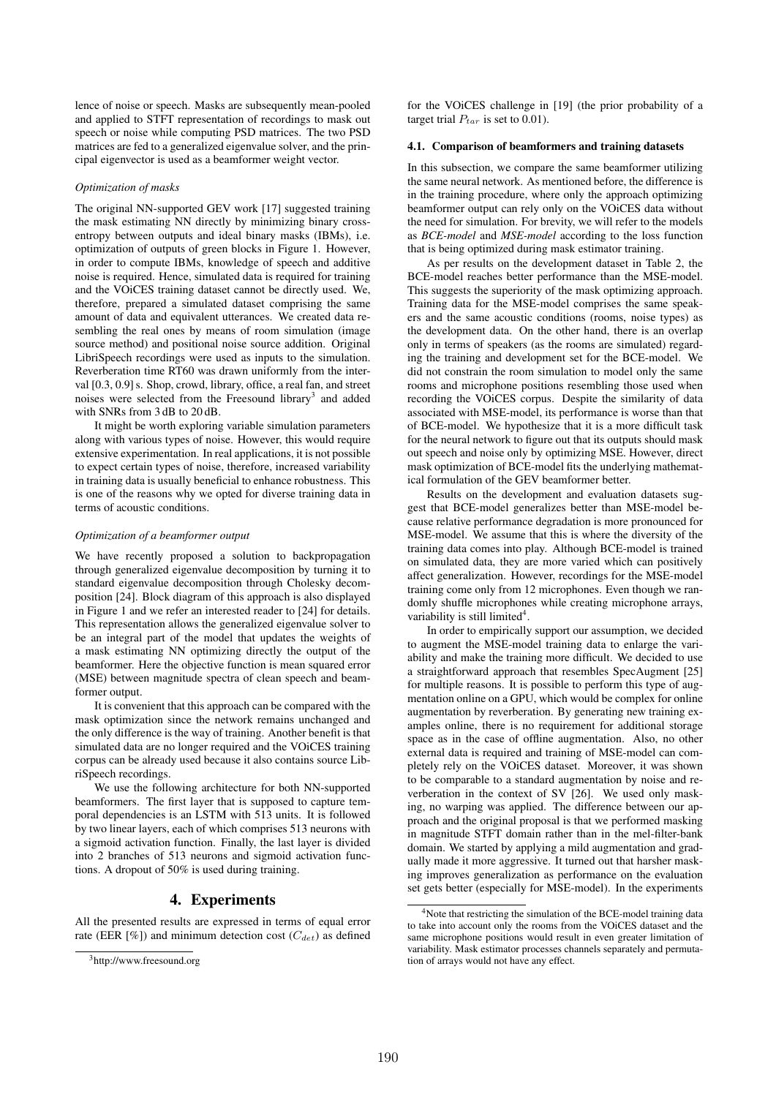lence of noise or speech. Masks are subsequently mean-pooled and applied to STFT representation of recordings to mask out speech or noise while computing PSD matrices. The two PSD matrices are fed to a generalized eigenvalue solver, and the principal eigenvector is used as a beamformer weight vector.

#### *Optimization of masks*

The original NN-supported GEV work [17] suggested training the mask estimating NN directly by minimizing binary crossentropy between outputs and ideal binary masks (IBMs), i.e. optimization of outputs of green blocks in Figure 1. However, in order to compute IBMs, knowledge of speech and additive noise is required. Hence, simulated data is required for training and the VOiCES training dataset cannot be directly used. We, therefore, prepared a simulated dataset comprising the same amount of data and equivalent utterances. We created data resembling the real ones by means of room simulation (image source method) and positional noise source addition. Original LibriSpeech recordings were used as inputs to the simulation. Reverberation time RT60 was drawn uniformly from the interval [0.3, 0.9] s. Shop, crowd, library, office, a real fan, and street noises were selected from the Freesound library<sup>3</sup> and added with SNRs from 3 dB to 20 dB.

It might be worth exploring variable simulation parameters along with various types of noise. However, this would require extensive experimentation. In real applications, it is not possible to expect certain types of noise, therefore, increased variability in training data is usually beneficial to enhance robustness. This is one of the reasons why we opted for diverse training data in terms of acoustic conditions.

#### *Optimization of a beamformer output*

We have recently proposed a solution to backpropagation through generalized eigenvalue decomposition by turning it to standard eigenvalue decomposition through Cholesky decomposition [24]. Block diagram of this approach is also displayed in Figure 1 and we refer an interested reader to [24] for details. This representation allows the generalized eigenvalue solver to be an integral part of the model that updates the weights of a mask estimating NN optimizing directly the output of the beamformer. Here the objective function is mean squared error (MSE) between magnitude spectra of clean speech and beamformer output.

It is convenient that this approach can be compared with the mask optimization since the network remains unchanged and the only difference is the way of training. Another benefit is that simulated data are no longer required and the VOiCES training corpus can be already used because it also contains source LibriSpeech recordings.

We use the following architecture for both NN-supported beamformers. The first layer that is supposed to capture temporal dependencies is an LSTM with 513 units. It is followed by two linear layers, each of which comprises 513 neurons with a sigmoid activation function. Finally, the last layer is divided into 2 branches of 513 neurons and sigmoid activation functions. A dropout of 50% is used during training.

#### 4. Experiments

All the presented results are expressed in terms of equal error rate (EER [%]) and minimum detection cost ( $C_{det}$ ) as defined

for the VOiCES challenge in [19] (the prior probability of a target trial  $P_{tar}$  is set to 0.01).

### 4.1. Comparison of beamformers and training datasets

In this subsection, we compare the same beamformer utilizing the same neural network. As mentioned before, the difference is in the training procedure, where only the approach optimizing beamformer output can rely only on the VOiCES data without the need for simulation. For brevity, we will refer to the models as *BCE-model* and *MSE-model* according to the loss function that is being optimized during mask estimator training.

As per results on the development dataset in Table 2, the BCE-model reaches better performance than the MSE-model. This suggests the superiority of the mask optimizing approach. Training data for the MSE-model comprises the same speakers and the same acoustic conditions (rooms, noise types) as the development data. On the other hand, there is an overlap only in terms of speakers (as the rooms are simulated) regarding the training and development set for the BCE-model. We did not constrain the room simulation to model only the same rooms and microphone positions resembling those used when recording the VOiCES corpus. Despite the similarity of data associated with MSE-model, its performance is worse than that of BCE-model. We hypothesize that it is a more difficult task for the neural network to figure out that its outputs should mask out speech and noise only by optimizing MSE. However, direct mask optimization of BCE-model fits the underlying mathematical formulation of the GEV beamformer better.

Results on the development and evaluation datasets suggest that BCE-model generalizes better than MSE-model because relative performance degradation is more pronounced for MSE-model. We assume that this is where the diversity of the training data comes into play. Although BCE-model is trained on simulated data, they are more varied which can positively affect generalization. However, recordings for the MSE-model training come only from 12 microphones. Even though we randomly shuffle microphones while creating microphone arrays, variability is still limited<sup>4</sup>.

In order to empirically support our assumption, we decided to augment the MSE-model training data to enlarge the variability and make the training more difficult. We decided to use a straightforward approach that resembles SpecAugment [25] for multiple reasons. It is possible to perform this type of augmentation online on a GPU, which would be complex for online augmentation by reverberation. By generating new training examples online, there is no requirement for additional storage space as in the case of offline augmentation. Also, no other external data is required and training of MSE-model can completely rely on the VOiCES dataset. Moreover, it was shown to be comparable to a standard augmentation by noise and reverberation in the context of SV [26]. We used only masking, no warping was applied. The difference between our approach and the original proposal is that we performed masking in magnitude STFT domain rather than in the mel-filter-bank domain. We started by applying a mild augmentation and gradually made it more aggressive. It turned out that harsher masking improves generalization as performance on the evaluation set gets better (especially for MSE-model). In the experiments

<sup>3</sup>http://www.freesound.org

<sup>&</sup>lt;sup>4</sup>Note that restricting the simulation of the BCE-model training data to take into account only the rooms from the VOiCES dataset and the same microphone positions would result in even greater limitation of variability. Mask estimator processes channels separately and permutation of arrays would not have any effect.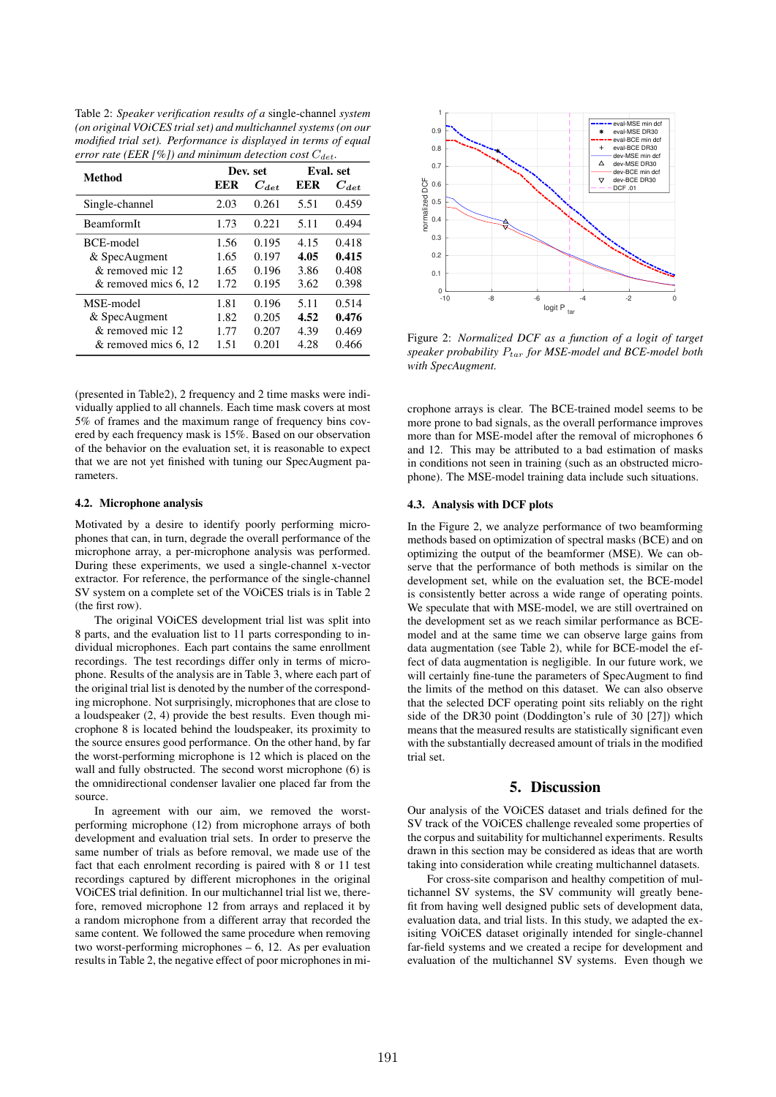Table 2: *Speaker verification results of a* single-channel *system (on original VOiCES trial set) and multichannel systems (on our modified trial set). Performance is displayed in terms of equal error rate (EER [%]) and minimum detection cost*  $C_{det}$ .

| Method               |      | Dev. set  | Eval. set |           |  |  |
|----------------------|------|-----------|-----------|-----------|--|--|
|                      | EER  | $C_{det}$ | EER       | $C_{det}$ |  |  |
| Single-channel       | 2.03 | 0.261     | 5.51      | 0.459     |  |  |
| <b>BeamformIt</b>    | 1.73 | 0.221     | 5.11      | 0.494     |  |  |
| BCE-model            | 1.56 | 0.195     | 4.15      | 0.418     |  |  |
| & SpecAugment        | 1.65 | 0.197     | 4.05      | 0.415     |  |  |
| & removed mic 12     | 1.65 | 0.196     | 3.86      | 0.408     |  |  |
| & removed mics 6, 12 | 1.72 | 0.195     | 3.62      | 0.398     |  |  |
| MSE-model            | 1.81 | 0.196     | 5.11      | 0.514     |  |  |
| & SpecAugment        | 1.82 | 0.205     | 4.52      | 0.476     |  |  |
| $&$ removed mic 12   | 1.77 | 0.207     | 4.39      | 0.469     |  |  |
| & removed mics 6, 12 | 1.51 | 0.201     | 4.28      | 0.466     |  |  |

(presented in Table2), 2 frequency and 2 time masks were individually applied to all channels. Each time mask covers at most 5% of frames and the maximum range of frequency bins covered by each frequency mask is 15%. Based on our observation of the behavior on the evaluation set, it is reasonable to expect that we are not yet finished with tuning our SpecAugment parameters.

#### 4.2. Microphone analysis

Motivated by a desire to identify poorly performing microphones that can, in turn, degrade the overall performance of the microphone array, a per-microphone analysis was performed. During these experiments, we used a single-channel x-vector extractor. For reference, the performance of the single-channel SV system on a complete set of the VOiCES trials is in Table 2 (the first row).

The original VOiCES development trial list was split into 8 parts, and the evaluation list to 11 parts corresponding to individual microphones. Each part contains the same enrollment recordings. The test recordings differ only in terms of microphone. Results of the analysis are in Table 3, where each part of the original trial list is denoted by the number of the corresponding microphone. Not surprisingly, microphones that are close to a loudspeaker (2, 4) provide the best results. Even though microphone 8 is located behind the loudspeaker, its proximity to the source ensures good performance. On the other hand, by far the worst-performing microphone is 12 which is placed on the wall and fully obstructed. The second worst microphone (6) is the omnidirectional condenser lavalier one placed far from the source.

In agreement with our aim, we removed the worstperforming microphone (12) from microphone arrays of both development and evaluation trial sets. In order to preserve the same number of trials as before removal, we made use of the fact that each enrolment recording is paired with 8 or 11 test recordings captured by different microphones in the original VOiCES trial definition. In our multichannel trial list we, therefore, removed microphone 12 from arrays and replaced it by a random microphone from a different array that recorded the same content. We followed the same procedure when removing two worst-performing microphones – 6, 12. As per evaluation results in Table 2, the negative effect of poor microphones in mi-



Figure 2: *Normalized DCF as a function of a logit of target speaker probability* Ptar *for MSE-model and BCE-model both with SpecAugment.*

crophone arrays is clear. The BCE-trained model seems to be more prone to bad signals, as the overall performance improves more than for MSE-model after the removal of microphones 6 and 12. This may be attributed to a bad estimation of masks in conditions not seen in training (such as an obstructed microphone). The MSE-model training data include such situations.

#### 4.3. Analysis with DCF plots

In the Figure 2, we analyze performance of two beamforming methods based on optimization of spectral masks (BCE) and on optimizing the output of the beamformer (MSE). We can observe that the performance of both methods is similar on the development set, while on the evaluation set, the BCE-model is consistently better across a wide range of operating points. We speculate that with MSE-model, we are still overtrained on the development set as we reach similar performance as BCEmodel and at the same time we can observe large gains from data augmentation (see Table 2), while for BCE-model the effect of data augmentation is negligible. In our future work, we will certainly fine-tune the parameters of SpecAugment to find the limits of the method on this dataset. We can also observe that the selected DCF operating point sits reliably on the right side of the DR30 point (Doddington's rule of 30 [27]) which means that the measured results are statistically significant even with the substantially decreased amount of trials in the modified trial set.

#### 5. Discussion

Our analysis of the VOiCES dataset and trials defined for the SV track of the VOiCES challenge revealed some properties of the corpus and suitability for multichannel experiments. Results drawn in this section may be considered as ideas that are worth taking into consideration while creating multichannel datasets.

For cross-site comparison and healthy competition of multichannel SV systems, the SV community will greatly benefit from having well designed public sets of development data, evaluation data, and trial lists. In this study, we adapted the exisiting VOiCES dataset originally intended for single-channel far-field systems and we created a recipe for development and evaluation of the multichannel SV systems. Even though we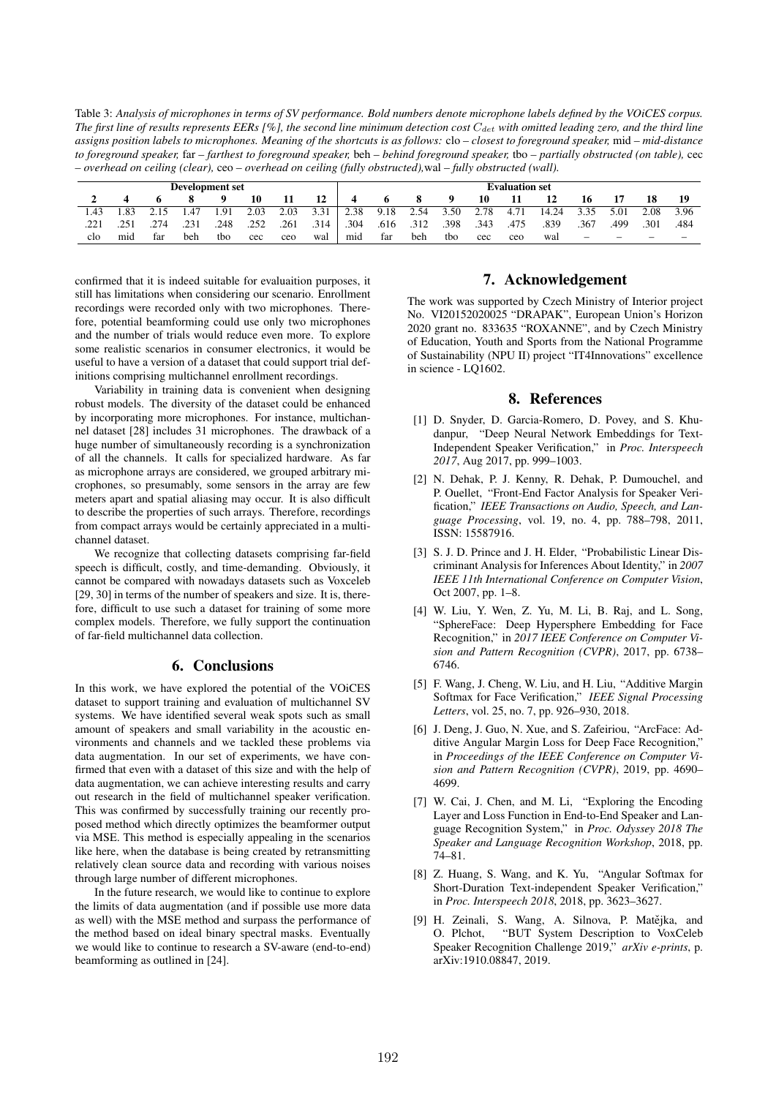Table 3: *Analysis of microphones in terms of SV performance. Bold numbers denote microphone labels defined by the VOiCES corpus. The first line of results represents EERs [%], the second line minimum detection cost*  $C_{\text{det}}$  *with omitted leading zero, and the third line assigns position labels to microphones. Meaning of the shortcuts is as follows:* clo *– closest to foreground speaker,* mid *– mid-distance to foreground speaker,* far *– farthest to foreground speaker,* beh *– behind foreground speaker,* tbo *– partially obstructed (on table),* cec *– overhead on ceiling (clear),* ceo *– overhead on ceiling (fully obstructed),*wal *– fully obstructed (wall).*

| Development set |     |     |      |      |      | <b>Evaluation set</b> |      |      |      |      |      |      |      |       |                          |      |      |      |
|-----------------|-----|-----|------|------|------|-----------------------|------|------|------|------|------|------|------|-------|--------------------------|------|------|------|
|                 |     |     |      |      | 10   |                       | 12   |      |      |      |      | 10   |      |       | 10                       |      |      |      |
| .43             | .83 |     |      | .91  | 2.03 | 2.03                  | 3.31 | 2.38 | 9.18 | 2.54 | 3.50 | 2.78 | 4.71 | 14.24 | 3.35                     | 5.01 | 2.08 | 3.96 |
|                 |     | 274 | .231 | .248 | .252 | .261                  | .314 | .304 | .616 | .312 | .398 | .343 | .475 | .839  | .367                     | .499 | .301 | .484 |
| clo             | mid | tar | beh  | tbo  | cec  | ceo                   | wal  | mid  | far  | beh  | tbo  | cec  | ceo  | wal   | $\overline{\phantom{a}}$ |      |      |      |

confirmed that it is indeed suitable for evaluaition purposes, it still has limitations when considering our scenario. Enrollment recordings were recorded only with two microphones. Therefore, potential beamforming could use only two microphones and the number of trials would reduce even more. To explore some realistic scenarios in consumer electronics, it would be useful to have a version of a dataset that could support trial definitions comprising multichannel enrollment recordings.

Variability in training data is convenient when designing robust models. The diversity of the dataset could be enhanced by incorporating more microphones. For instance, multichannel dataset [28] includes 31 microphones. The drawback of a huge number of simultaneously recording is a synchronization of all the channels. It calls for specialized hardware. As far as microphone arrays are considered, we grouped arbitrary microphones, so presumably, some sensors in the array are few meters apart and spatial aliasing may occur. It is also difficult to describe the properties of such arrays. Therefore, recordings from compact arrays would be certainly appreciated in a multichannel dataset.

We recognize that collecting datasets comprising far-field speech is difficult, costly, and time-demanding. Obviously, it cannot be compared with nowadays datasets such as Voxceleb [29, 30] in terms of the number of speakers and size. It is, therefore, difficult to use such a dataset for training of some more complex models. Therefore, we fully support the continuation of far-field multichannel data collection.

# 6. Conclusions

In this work, we have explored the potential of the VOiCES dataset to support training and evaluation of multichannel SV systems. We have identified several weak spots such as small amount of speakers and small variability in the acoustic environments and channels and we tackled these problems via data augmentation. In our set of experiments, we have confirmed that even with a dataset of this size and with the help of data augmentation, we can achieve interesting results and carry out research in the field of multichannel speaker verification. This was confirmed by successfully training our recently proposed method which directly optimizes the beamformer output via MSE. This method is especially appealing in the scenarios like here, when the database is being created by retransmitting relatively clean source data and recording with various noises through large number of different microphones.

In the future research, we would like to continue to explore the limits of data augmentation (and if possible use more data as well) with the MSE method and surpass the performance of the method based on ideal binary spectral masks. Eventually we would like to continue to research a SV-aware (end-to-end) beamforming as outlined in [24].

# 7. Acknowledgement

The work was supported by Czech Ministry of Interior project No. VI20152020025 "DRAPAK", European Union's Horizon 2020 grant no. 833635 "ROXANNE", and by Czech Ministry of Education, Youth and Sports from the National Programme of Sustainability (NPU II) project "IT4Innovations" excellence in science - LQ1602.

### 8. References

- [1] D. Snyder, D. Garcia-Romero, D. Povey, and S. Khudanpur, "Deep Neural Network Embeddings for Text-Independent Speaker Verification," in *Proc. Interspeech 2017*, Aug 2017, pp. 999–1003.
- [2] N. Dehak, P. J. Kenny, R. Dehak, P. Dumouchel, and P. Ouellet, "Front-End Factor Analysis for Speaker Verification," *IEEE Transactions on Audio, Speech, and Language Processing*, vol. 19, no. 4, pp. 788–798, 2011, ISSN: 15587916.
- [3] S. J. D. Prince and J. H. Elder, "Probabilistic Linear Discriminant Analysis for Inferences About Identity," in *2007 IEEE 11th International Conference on Computer Vision*, Oct 2007, pp. 1–8.
- [4] W. Liu, Y. Wen, Z. Yu, M. Li, B. Raj, and L. Song, "SphereFace: Deep Hypersphere Embedding for Face Recognition," in *2017 IEEE Conference on Computer Vision and Pattern Recognition (CVPR)*, 2017, pp. 6738– 6746.
- [5] F. Wang, J. Cheng, W. Liu, and H. Liu, "Additive Margin Softmax for Face Verification," *IEEE Signal Processing Letters*, vol. 25, no. 7, pp. 926–930, 2018.
- [6] J. Deng, J. Guo, N. Xue, and S. Zafeiriou, "ArcFace: Additive Angular Margin Loss for Deep Face Recognition," in *Proceedings of the IEEE Conference on Computer Vision and Pattern Recognition (CVPR)*, 2019, pp. 4690– 4699.
- [7] W. Cai, J. Chen, and M. Li, "Exploring the Encoding Layer and Loss Function in End-to-End Speaker and Language Recognition System," in *Proc. Odyssey 2018 The Speaker and Language Recognition Workshop*, 2018, pp. 74–81.
- [8] Z. Huang, S. Wang, and K. Yu, "Angular Softmax for Short-Duration Text-independent Speaker Verification," in *Proc. Interspeech 2018*, 2018, pp. 3623–3627.
- [9] H. Zeinali, S. Wang, A. Silnova, P. Matějka, and O. Plchot, "BUT System Description to VoxCeleb Speaker Recognition Challenge 2019," *arXiv e-prints*, p. arXiv:1910.08847, 2019.